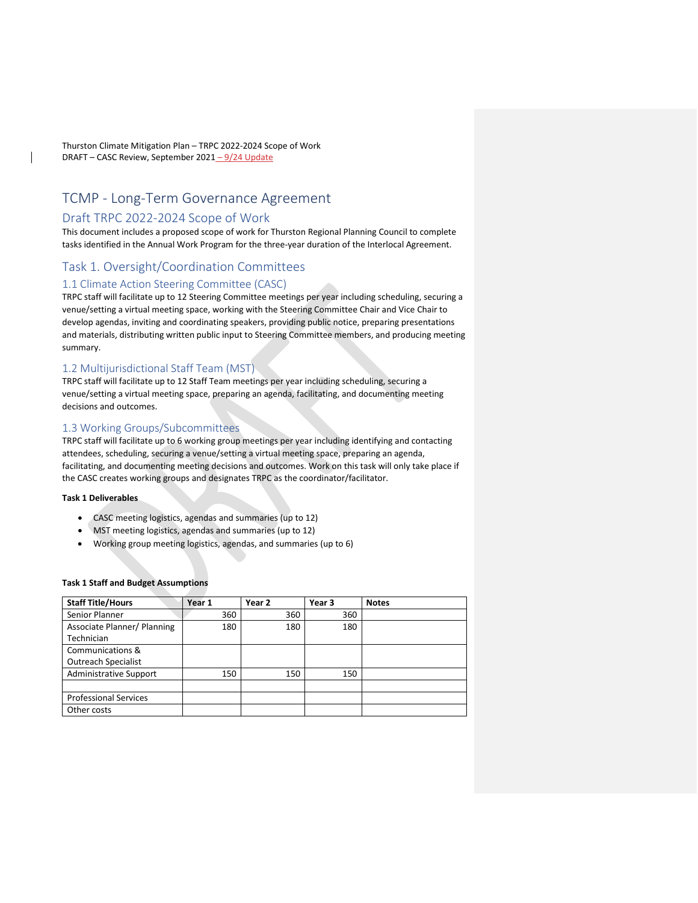Thurston Climate Mitigation Plan – TRPC 2022-2024 Scope of Work DRAFT – CASC Review, September 2021 - 9/24 Update

# TCMP - Long-Term Governance Agreement

## Draft TRPC 2022-2024 Scope of Work

This document includes a proposed scope of work for Thurston Regional Planning Council to complete tasks identified in the Annual Work Program for the three-year duration of the Interlocal Agreement.

# Task 1. Oversight/Coordination Committees

### 1.1 Climate Action Steering Committee (CASC)

TRPC staff will facilitate up to 12 Steering Committee meetings per year including scheduling, securing a venue/setting a virtual meeting space, working with the Steering Committee Chair and Vice Chair to develop agendas, inviting and coordinating speakers, providing public notice, preparing presentations and materials, distributing written public input to Steering Committee members, and producing meeting summary.

### 1.2 Multijurisdictional Staff Team (MST)

TRPC staff will facilitate up to 12 Staff Team meetings per year including scheduling, securing a venue/setting a virtual meeting space, preparing an agenda, facilitating, and documenting meeting decisions and outcomes.

# 1.3 Working Groups/Subcommittees

TRPC staff will facilitate up to 6 working group meetings per year including identifying and contacting attendees, scheduling, securing a venue/setting a virtual meeting space, preparing an agenda, facilitating, and documenting meeting decisions and outcomes. Work on this task will only take place if the CASC creates working groups and designates TRPC as the coordinator/facilitator.

#### **Task 1 Deliverables**

- CASC meeting logistics, agendas and summaries (up to 12)
- MST meeting logistics, agendas and summaries (up to 12)
- Working group meeting logistics, agendas, and summaries (up to 6)

#### **Task 1 Staff and Budget Assumptions**

| <b>Staff Title/Hours</b>      | Year 1 | Year 2 | Year 3 | <b>Notes</b> |
|-------------------------------|--------|--------|--------|--------------|
| Senior Planner                | 360    | 360    | 360    |              |
| Associate Planner/ Planning   | 180    | 180    | 180    |              |
| Technician                    |        |        |        |              |
| Communications &              |        |        |        |              |
| <b>Outreach Specialist</b>    |        |        |        |              |
| <b>Administrative Support</b> | 150    | 150    | 150    |              |
|                               |        |        |        |              |
| <b>Professional Services</b>  |        |        |        |              |
| Other costs                   |        |        |        |              |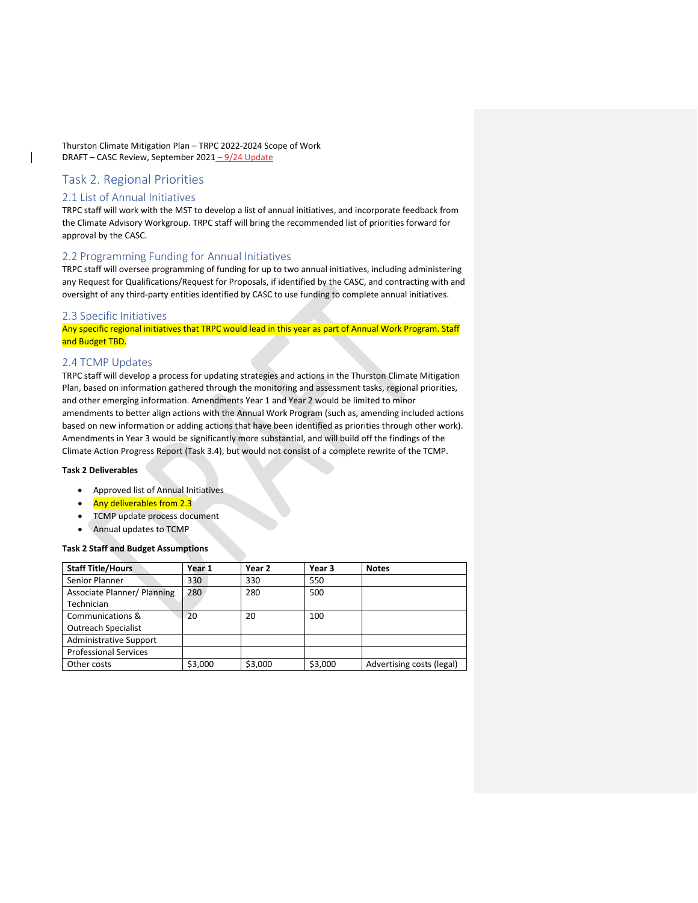Thurston Climate Mitigation Plan – TRPC 2022-2024 Scope of Work DRAFT – CASC Review, September 2021 - 9/24 Update

# Task 2. Regional Priorities

# 2.1 List of Annual Initiatives

TRPC staff will work with the MST to develop a list of annual initiatives, and incorporate feedback from the Climate Advisory Workgroup. TRPC staff will bring the recommended list of priorities forward for approval by the CASC.

# 2.2 Programming Funding for Annual Initiatives

TRPC staff will oversee programming of funding for up to two annual initiatives, including administering any Request for Qualifications/Request for Proposals, if identified by the CASC, and contracting with and oversight of any third-party entities identified by CASC to use funding to complete annual initiatives.

#### 2.3 Specific Initiatives

Any specific regional initiatives that TRPC would lead in this year as part of Annual Work Program. Staff and Budget TBD.

### 2.4 TCMP Updates

TRPC staff will develop a process for updating strategies and actions in the Thurston Climate Mitigation Plan, based on information gathered through the monitoring and assessment tasks, regional priorities, and other emerging information. Amendments Year 1 and Year 2 would be limited to minor amendments to better align actions with the Annual Work Program (such as, amending included actions based on new information or adding actions that have been identified as priorities through other work). Amendments in Year 3 would be significantly more substantial, and will build off the findings of the Climate Action Progress Report (Task 3.4), but would not consist of a complete rewrite of the TCMP.

### **Task 2 Deliverables**

- Approved list of Annual Initiatives
- Any deliverables from 2.3
- TCMP update process document
- Annual updates to TCMP

#### **Task 2 Staff and Budget Assumptions**

| <b>Staff Title/Hours</b>      | Year 1  | Year 2  | Year 3  | <b>Notes</b>              |
|-------------------------------|---------|---------|---------|---------------------------|
| Senior Planner                | 330     | 330     | 550     |                           |
| Associate Planner/ Planning   | 280     | 280     | 500     |                           |
| Technician                    |         |         |         |                           |
| Communications &              | 20      | 20      | 100     |                           |
| <b>Outreach Specialist</b>    |         |         |         |                           |
| <b>Administrative Support</b> |         |         |         |                           |
| <b>Professional Services</b>  |         |         |         |                           |
| Other costs                   | \$3,000 | \$3,000 | \$3,000 | Advertising costs (legal) |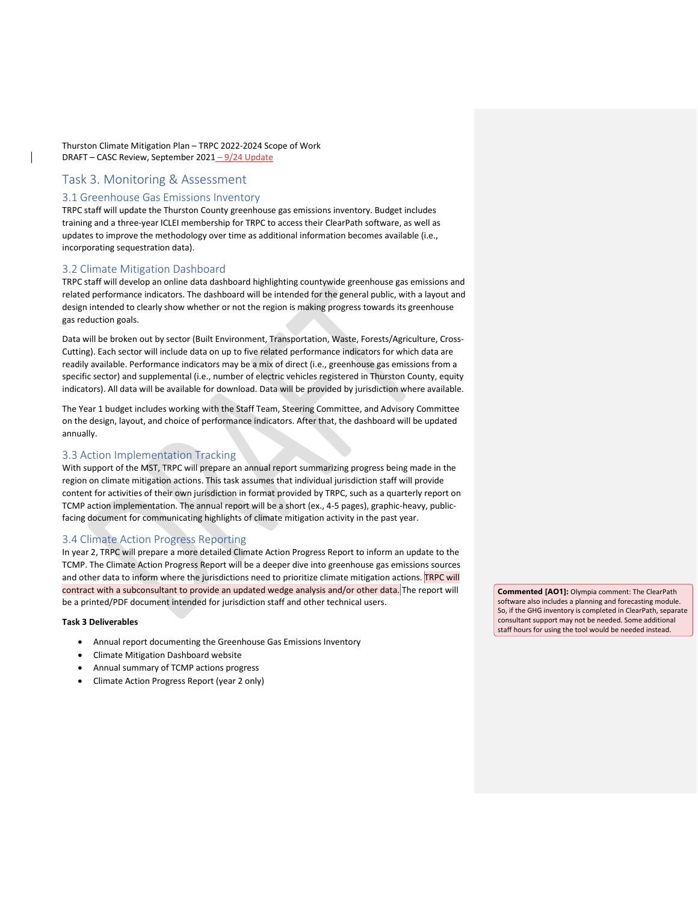Thurston Climate Mitigation Plan – TRPC 2022-2024 Scope of Work DRAFT – CASC Review, September 2021 – 9/24 Update

# Task 3. Monitoring & Assessment

### 3.1 Greenhouse Gas Emissions Inventory

TRPC staff will update the Thurston County greenhouse gas emissions inventory. Budget includes training and a three-year ICLEI membership for TRPC to access their ClearPath software, as well as updates to improve the methodology over time as additional information becomes available (i.e., incorporating sequestration data).

### 3.2 Climate Mitigation Dashboard

TRPC staff will develop an online data dashboard highlighting countywide greenhouse gas emissions and related performance indicators. The dashboard will be intended for the general public, with a layout and design intended to clearly show whether or not the region is making progress towards its greenhouse gas reduction goals.

Data will be broken out by sector (Built Environment, Transportation, Waste, Forests/Agriculture, Cross-Cutting). Each sector will include data on up to five related performance indicators for which data are readily available. Performance indicators may be a mix of direct (i.e., greenhouse gas emissions from a specific sector) and supplemental (i.e., number of electric vehicles registered in Thurston County, equity indicators). All data will be available for download. Data will be provided by jurisdiction where available.

The Year 1 budget includes working with the Staff Team, Steering Committee, and Advisory Committee on the design, layout, and choice of performance indicators. After that, the dashboard will be updated annually.

### 3.3 Action Implementation Tracking

With support of the MST, TRPC will prepare an annual report summarizing progress being made in the region on climate mitigation actions. This task assumes that individual jurisdiction staff will provide content for activities of their own jurisdiction in format provided by TRPC, such as a quarterly report on TCMP action implementation. The annual report will be a short (ex., 4-5 pages), graphic-heavy, publicfacing document for communicating highlights of climate mitigation activity in the past year.

## 3.4 Climate Action Progress Reporting

In year 2, TRPC will prepare a more detailed Climate Action Progress Report to inform an update to the TCMP. The Climate Action Progress Report will be a deeper dive into greenhouse gas emissions sources and other data to inform where the jurisdictions need to prioritize climate mitigation actions. TRPC will contract with a subconsultant to provide an updated wedge analysis and/or other data. The report will be a printed/PDF document intended for jurisdiction staff and other technical users.

#### **Task 3 Deliverables**

- Annual report documenting the Greenhouse Gas Emissions Inventory
- Climate Mitigation Dashboard website
- Annual summary of TCMP actions progress
- Climate Action Progress Report (year 2 only)

**Commented [AO1]:** Olympia comment: The ClearPath software also includes a planning and forecasting module. So, if the GHG inventory is completed in ClearPath, separate consultant support may not be needed. Some additional staff hours for using the tool would be needed instead.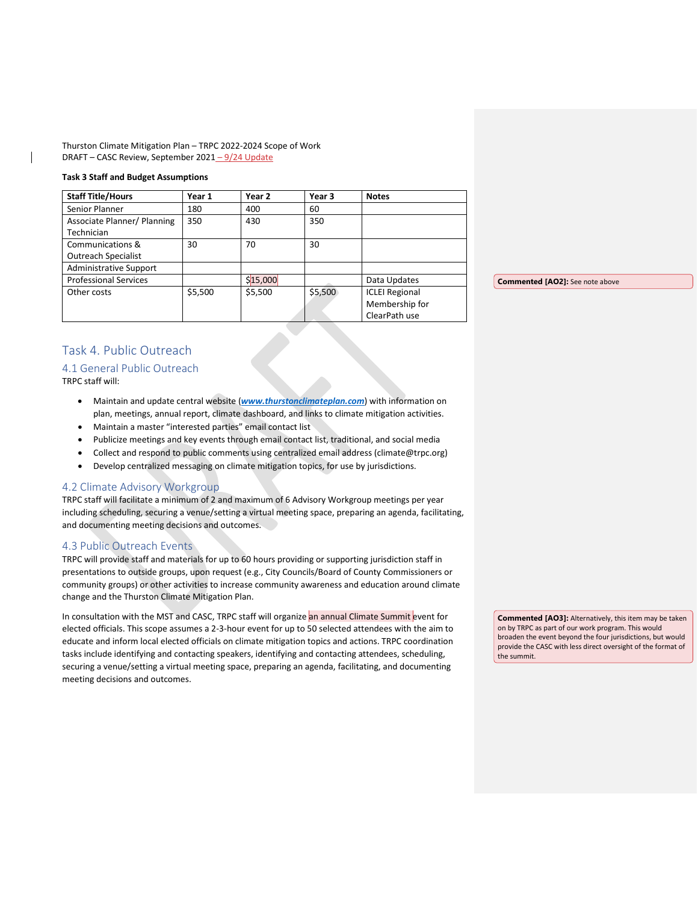Thurston Climate Mitigation Plan – TRPC 2022-2024 Scope of Work DRAFT - CASC Review, September 2021 - 9/24 Update

#### **Task 3 Staff and Budget Assumptions**

| <b>Staff Title/Hours</b>      | Year 1  | Year 2   | Year 3  | <b>Notes</b>          |  |
|-------------------------------|---------|----------|---------|-----------------------|--|
| Senior Planner                | 180     | 400      | 60      |                       |  |
| Associate Planner/ Planning   | 350     | 430      | 350     |                       |  |
| Technician                    |         |          |         |                       |  |
| Communications &              | 30      | 70       | 30      |                       |  |
| <b>Outreach Specialist</b>    |         |          |         |                       |  |
| <b>Administrative Support</b> |         |          |         |                       |  |
| <b>Professional Services</b>  |         | \$15,000 |         | Data Updates          |  |
| Other costs                   | \$5,500 | \$5,500  | \$5,500 | <b>ICLEI Regional</b> |  |
|                               |         |          |         | Membership for        |  |
|                               |         |          |         | ClearPath use         |  |

**Commented [AO2]:** See note above

# Task 4. Public Outreach

# 4.1 General Public Outreach

TRPC staff will:

- Maintain and update central website (*[www.thurstonclimateplan.com](http://www.thurstonclimateplan.com/)*) with information on plan, meetings, annual report, climate dashboard, and links to climate mitigation activities.
- Maintain a master "interested parties" email contact list
- Publicize meetings and key events through email contact list, traditional, and social media
- Collect and respond to public comments using centralized email address (climate@trpc.org)
- Develop centralized messaging on climate mitigation topics, for use by jurisdictions.

## 4.2 Climate Advisory Workgroup

TRPC staff will facilitate a minimum of 2 and maximum of 6 Advisory Workgroup meetings per year including scheduling, securing a venue/setting a virtual meeting space, preparing an agenda, facilitating, and documenting meeting decisions and outcomes.

### 4.3 Public Outreach Events

TRPC will provide staff and materials for up to 60 hours providing or supporting jurisdiction staff in presentations to outside groups, upon request (e.g., City Councils/Board of County Commissioners or community groups) or other activities to increase community awareness and education around climate change and the Thurston Climate Mitigation Plan.

In consultation with the MST and CASC, TRPC staff will organize an annual Climate Summit event for elected officials. This scope assumes a 2-3-hour event for up to 50 selected attendees with the aim to educate and inform local elected officials on climate mitigation topics and actions. TRPC coordination tasks include identifying and contacting speakers, identifying and contacting attendees, scheduling, securing a venue/setting a virtual meeting space, preparing an agenda, facilitating, and documenting meeting decisions and outcomes.

**Commented [AO3]:** Alternatively, this item may be taken on by TRPC as part of our work program. This would broaden the event beyond the four jurisdictions, but would provide the CASC with less direct oversight of the format of the summit.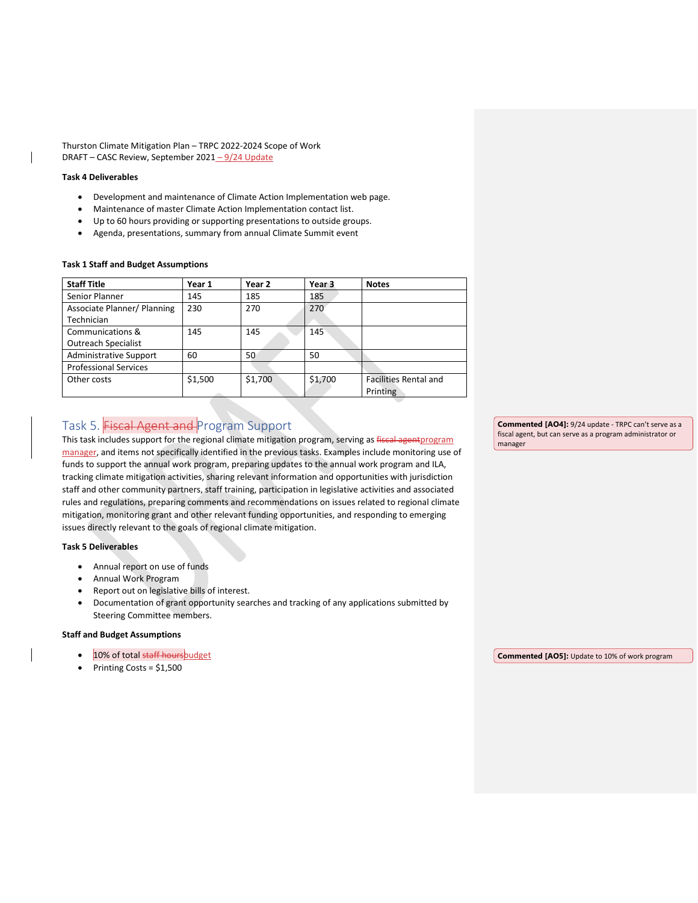Thurston Climate Mitigation Plan – TRPC 2022-2024 Scope of Work DRAFT – CASC Review, September 2021 - 9/24 Update

#### **Task 4 Deliverables**

- Development and maintenance of Climate Action Implementation web page.
- Maintenance of master Climate Action Implementation contact list.
- Up to 60 hours providing or supporting presentations to outside groups.
- Agenda, presentations, summary from annual Climate Summit event

#### **Task 1 Staff and Budget Assumptions**

| <b>Staff Title</b>            | Year 1  | Year 2  | Year 3  | <b>Notes</b>                 |
|-------------------------------|---------|---------|---------|------------------------------|
| Senior Planner                | 145     | 185     | 185     |                              |
| Associate Planner/ Planning   | 230     | 270     | 270     |                              |
| Technician                    |         |         |         |                              |
| Communications &              | 145     | 145     | 145     |                              |
| <b>Outreach Specialist</b>    |         |         |         |                              |
| <b>Administrative Support</b> | 60      | 50      | 50      |                              |
| <b>Professional Services</b>  |         |         |         |                              |
| Other costs                   | \$1,500 | \$1,700 | \$1,700 | <b>Facilities Rental and</b> |
|                               |         |         |         | Printing                     |

# Task 5. Fiscal Agent and Program Support

This task includes support for the regional climate mitigation program, serving as fiscal agentprogram manager, and items not specifically identified in the previous tasks. Examples include monitoring use of funds to support the annual work program, preparing updates to the annual work program and ILA, tracking climate mitigation activities, sharing relevant information and opportunities with jurisdiction staff and other community partners, staff training, participation in legislative activities and associated rules and regulations, preparing comments and recommendations on issues related to regional climate mitigation, monitoring grant and other relevant funding opportunities, and responding to emerging issues directly relevant to the goals of regional climate mitigation.

#### **Task 5 Deliverables**

- Annual report on use of funds
- Annual Work Program
- Report out on legislative bills of interest.
- Documentation of grant opportunity searches and tracking of any applications submitted by Steering Committee members.

#### **Staff and Budget Assumptions**

- 10% of total staff hoursbudget
- Printing Costs = \$1,500

**Commented [AO4]:** 9/24 update - TRPC can't serve as a fiscal agent, but can serve as a program administrator or manager

**Commented [AO5]:** Update to 10% of work program